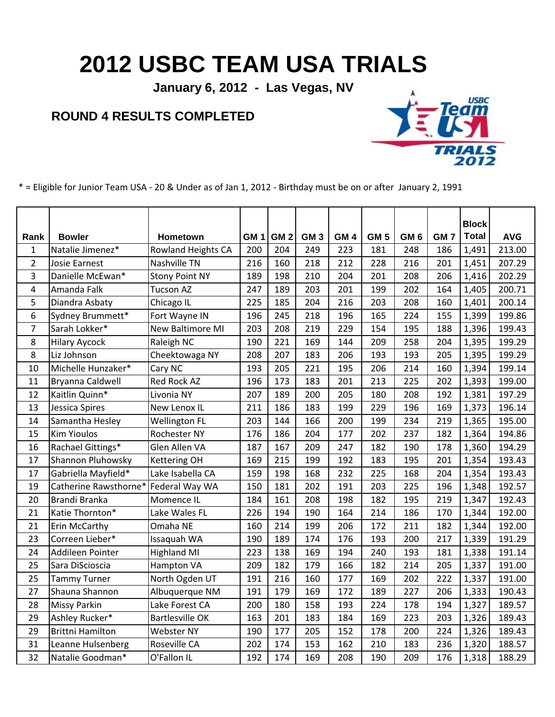## **2012 USBC TEAM USA TRIALS**

**January 6, 2012 - Las Vegas, NV**

## **ROUND 4 RESULTS COMPLETED**



\* = Eligible for Junior Team USA - 20 & Under as of Jan 1, 2012 - Birthday must be on or after January 2, 1991

|                |                         |                           |                 |                 |                 |                 |                 |                 |                 | <b>Block</b> |            |
|----------------|-------------------------|---------------------------|-----------------|-----------------|-----------------|-----------------|-----------------|-----------------|-----------------|--------------|------------|
| Rank           | <b>Bowler</b>           | Hometown                  | GM <sub>1</sub> | GM <sub>2</sub> | GM <sub>3</sub> | GM <sub>4</sub> | GM <sub>5</sub> | GM <sub>6</sub> | GM <sub>7</sub> | <b>Total</b> | <b>AVG</b> |
| $\mathbf{1}$   | Natalie Jimenez*        | <b>Rowland Heights CA</b> | 200             | 204             | 249             | 223             | 181             | 248             | 186             | 1,491        | 213.00     |
| $\overline{2}$ | Josie Earnest           | Nashville TN              | 216             | 160             | 218             | 212             | 228             | 216             | 201             | 1,451        | 207.29     |
| 3              | Danielle McEwan*        | <b>Stony Point NY</b>     | 189             | 198             | 210             | 204             | 201             | 208             | 206             | 1,416        | 202.29     |
| 4              | Amanda Falk             | <b>Tucson AZ</b>          | 247             | 189             | 203             | 201             | 199             | 202             | 164             | 1,405        | 200.71     |
| 5              | Diandra Asbaty          | Chicago IL                | 225             | 185             | 204             | 216             | 203             | 208             | 160             | 1,401        | 200.14     |
| 6              | Sydney Brummett*        | Fort Wayne IN             | 196             | 245             | 218             | 196             | 165             | 224             | 155             | 1,399        | 199.86     |
| $\overline{7}$ | Sarah Lokker*           | New Baltimore MI          | 203             | 208             | 219             | 229             | 154             | 195             | 188             | 1,396        | 199.43     |
| 8              | <b>Hilary Aycock</b>    | Raleigh NC                | 190             | 221             | 169             | 144             | 209             | 258             | 204             | 1,395        | 199.29     |
| 8              | Liz Johnson             | Cheektowaga NY            | 208             | 207             | 183             | 206             | 193             | 193             | 205             | 1,395        | 199.29     |
| 10             | Michelle Hunzaker*      | Cary NC                   | 193             | 205             | 221             | 195             | 206             | 214             | 160             | 1,394        | 199.14     |
| 11             | Bryanna Caldwell        | Red Rock AZ               | 196             | 173             | 183             | 201             | 213             | 225             | 202             | 1,393        | 199.00     |
| 12             | Kaitlin Quinn*          | Livonia NY                | 207             | 189             | 200             | 205             | 180             | 208             | 192             | 1,381        | 197.29     |
| 13             | Jessica Spires          | New Lenox IL              | 211             | 186             | 183             | 199             | 229             | 196             | 169             | 1,373        | 196.14     |
| 14             | Samantha Hesley         | <b>Wellington FL</b>      | 203             | 144             | 166             | 200             | 199             | 234             | 219             | 1,365        | 195.00     |
| 15             | <b>Kim Yioulos</b>      | Rochester NY              | 176             | 186             | 204             | 177             | 202             | 237             | 182             | 1,364        | 194.86     |
| 16             | Rachael Gittings*       | Glen Allen VA             | 187             | 167             | 209             | 247             | 182             | 190             | 178             | 1,360        | 194.29     |
| 17             | Shannon Pluhowsky       | <b>Kettering OH</b>       | 169             | 215             | 199             | 192             | 183             | 195             | 201             | 1,354        | 193.43     |
| 17             | Gabriella Mayfield*     | Lake Isabella CA          | 159             | 198             | 168             | 232             | 225             | 168             | 204             | 1,354        | 193.43     |
| 19             | Catherine Rawsthorne*   | Federal Way WA            | 150             | 181             | 202             | 191             | 203             | 225             | 196             | 1,348        | 192.57     |
| 20             | Brandi Branka           | Momence IL                | 184             | 161             | 208             | 198             | 182             | 195             | 219             | 1,347        | 192.43     |
| 21             | Katie Thornton*         | Lake Wales FL             | 226             | 194             | 190             | 164             | 214             | 186             | 170             | 1,344        | 192.00     |
| 21             | Erin McCarthy           | Omaha NE                  | 160             | 214             | 199             | 206             | 172             | 211             | 182             | 1,344        | 192.00     |
| 23             | Correen Lieber*         | Issaquah WA               | 190             | 189             | 174             | 176             | 193             | 200             | 217             | 1,339        | 191.29     |
| 24             | Addileen Pointer        | <b>Highland MI</b>        | 223             | 138             | 169             | 194             | 240             | 193             | 181             | 1,338        | 191.14     |
| 25             | Sara DiScioscia         | Hampton VA                | 209             | 182             | 179             | 166             | 182             | 214             | 205             | 1,337        | 191.00     |
| 25             | <b>Tammy Turner</b>     | North Ogden UT            | 191             | 216             | 160             | 177             | 169             | 202             | 222             | 1,337        | 191.00     |
| 27             | Shauna Shannon          | Albuquerque NM            | 191             | 179             | 169             | 172             | 189             | 227             | 206             | 1,333        | 190.43     |
| 28             | <b>Missy Parkin</b>     | Lake Forest CA            | 200             | 180             | 158             | 193             | 224             | 178             | 194             | 1,327        | 189.57     |
| 29             | Ashley Rucker*          | <b>Bartlesville OK</b>    | 163             | 201             | 183             | 184             | 169             | 223             | 203             | 1,326        | 189.43     |
| 29             | <b>Brittni Hamilton</b> | <b>Webster NY</b>         | 190             | 177             | 205             | 152             | 178             | 200             | 224             | 1,326        | 189.43     |
| 31             | Leanne Hulsenberg       | Roseville CA              | 202             | 174             | 153             | 162             | 210             | 183             | 236             | 1,320        | 188.57     |
| 32             | Natalie Goodman*        | O'Fallon IL               | 192             | 174             | 169             | 208             | 190             | 209             | 176             | 1,318        | 188.29     |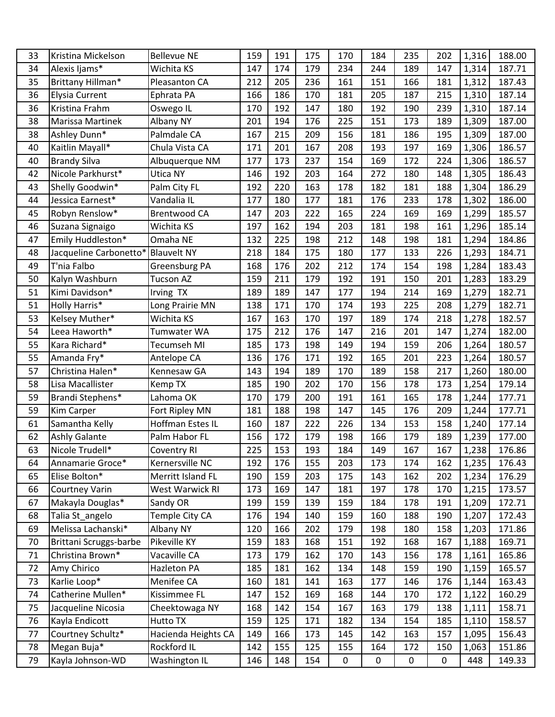| 33 | Kristina Mickelson     | <b>Bellevue NE</b>  | 159 | 191 | 175 | 170         | 184 | 235 | 202 | 1,316 | 188.00 |
|----|------------------------|---------------------|-----|-----|-----|-------------|-----|-----|-----|-------|--------|
| 34 | Alexis Ijams*          | Wichita KS          | 147 | 174 | 179 | 234         | 244 | 189 | 147 | 1,314 | 187.71 |
| 35 | Brittany Hillman*      | Pleasanton CA       | 212 | 205 | 236 | 161         | 151 | 166 | 181 | 1,312 | 187.43 |
| 36 | <b>Elysia Current</b>  | Ephrata PA          | 166 | 186 | 170 | 181         | 205 | 187 | 215 | 1,310 | 187.14 |
| 36 | Kristina Frahm         | Oswego IL           | 170 | 192 | 147 | 180         | 192 | 190 | 239 | 1,310 | 187.14 |
| 38 | Marissa Martinek       | Albany NY           | 201 | 194 | 176 | 225         | 151 | 173 | 189 | 1,309 | 187.00 |
| 38 | Ashley Dunn*           | Palmdale CA         | 167 | 215 | 209 | 156         | 181 | 186 | 195 | 1,309 | 187.00 |
| 40 | Kaitlin Mayall*        | Chula Vista CA      | 171 | 201 | 167 | 208         | 193 | 197 | 169 | 1,306 | 186.57 |
| 40 | <b>Brandy Silva</b>    | Albuquerque NM      | 177 | 173 | 237 | 154         | 169 | 172 | 224 | 1,306 | 186.57 |
| 42 | Nicole Parkhurst*      | Utica NY            | 146 | 192 | 203 | 164         | 272 | 180 | 148 | 1,305 | 186.43 |
| 43 | Shelly Goodwin*        | Palm City FL        | 192 | 220 | 163 | 178         | 182 | 181 | 188 | 1,304 | 186.29 |
| 44 | Jessica Earnest*       | Vandalia IL         | 177 | 180 | 177 | 181         | 176 | 233 | 178 | 1,302 | 186.00 |
| 45 | Robyn Renslow*         | <b>Brentwood CA</b> | 147 | 203 | 222 | 165         | 224 | 169 | 169 | 1,299 | 185.57 |
| 46 | Suzana Signaigo        | Wichita KS          | 197 | 162 | 194 | 203         | 181 | 198 | 161 | 1,296 | 185.14 |
| 47 | Emily Huddleston*      | Omaha NE            | 132 | 225 | 198 | 212         | 148 | 198 | 181 | 1,294 | 184.86 |
| 48 | Jacqueline Carbonetto* | <b>Blauvelt NY</b>  | 218 | 184 | 175 | 180         | 177 | 133 | 226 | 1,293 | 184.71 |
| 49 | T'nia Falbo            | Greensburg PA       | 168 | 176 | 202 | 212         | 174 | 154 | 198 | 1,284 | 183.43 |
| 50 | Kalyn Washburn         | <b>Tucson AZ</b>    | 159 | 211 | 179 | 192         | 191 | 150 | 201 | 1,283 | 183.29 |
| 51 | Kimi Davidson*         | Irving TX           | 189 | 189 | 147 | 177         | 194 | 214 | 169 | 1,279 | 182.71 |
| 51 | Holly Harris*          | Long Prairie MN     | 138 | 171 | 170 | 174         | 193 | 225 | 208 | 1,279 | 182.71 |
| 53 | Kelsey Muther*         | Wichita KS          | 167 | 163 | 170 | 197         | 189 | 174 | 218 | 1,278 | 182.57 |
| 54 | Leea Haworth*          | Tumwater WA         | 175 | 212 | 176 | 147         | 216 | 201 | 147 | 1,274 | 182.00 |
| 55 | Kara Richard*          | Tecumseh MI         | 185 | 173 | 198 | 149         | 194 | 159 | 206 | 1,264 | 180.57 |
| 55 | Amanda Fry*            | Antelope CA         | 136 | 176 | 171 | 192         | 165 | 201 | 223 | 1,264 | 180.57 |
| 57 | Christina Halen*       | Kennesaw GA         | 143 | 194 | 189 | 170         | 189 | 158 | 217 | 1,260 | 180.00 |
| 58 | Lisa Macallister       | Kemp TX             | 185 | 190 | 202 | 170         | 156 | 178 | 173 | 1,254 | 179.14 |
| 59 | Brandi Stephens*       | Lahoma OK           | 170 | 179 | 200 | 191         | 161 | 165 | 178 | 1,244 | 177.71 |
| 59 | Kim Carper             | Fort Ripley MN      | 181 | 188 | 198 | 147         | 145 | 176 | 209 | 1,244 | 177.71 |
| 61 | Samantha Kelly         | Hoffman Estes IL    | 160 | 187 | 222 | 226         | 134 | 153 | 158 | 1,240 | 177.14 |
| 62 | <b>Ashly Galante</b>   | Palm Habor FL       | 156 | 172 | 179 | 198         | 166 | 179 | 189 | 1,239 | 177.00 |
| 63 | Nicole Trudell*        | <b>Coventry RI</b>  | 225 | 153 | 193 | 184         | 149 | 167 | 167 | 1,238 | 176.86 |
| 64 | Annamarie Groce*       | Kernersville NC     | 192 | 176 | 155 | 203         | 173 | 174 | 162 | 1,235 | 176.43 |
| 65 | Elise Bolton*          | Merritt Island FL   | 190 | 159 | 203 | 175         | 143 | 162 | 202 | 1,234 | 176.29 |
| 66 | <b>Courtney Varin</b>  | West Warwick RI     | 173 | 169 | 147 | 181         | 197 | 178 | 170 | 1,215 | 173.57 |
| 67 | Makayla Douglas*       | Sandy OR            | 199 | 159 | 139 | 159         | 184 | 178 | 191 | 1,209 | 172.71 |
| 68 | Talia St_angelo        | Temple City CA      | 176 | 194 | 140 | 159         | 160 | 188 | 190 | 1,207 | 172.43 |
| 69 | Melissa Lachanski*     | Albany NY           | 120 | 166 | 202 | 179         | 198 | 180 | 158 | 1,203 | 171.86 |
| 70 | Brittani Scruggs-barbe | Pikeville KY        | 159 | 183 | 168 | 151         | 192 | 168 | 167 | 1,188 | 169.71 |
| 71 | Christina Brown*       | Vacaville CA        | 173 | 179 | 162 | 170         | 143 | 156 | 178 | 1,161 | 165.86 |
| 72 | Amy Chirico            | Hazleton PA         | 185 | 181 | 162 | 134         | 148 | 159 | 190 | 1,159 | 165.57 |
| 73 | Karlie Loop*           | Menifee CA          | 160 | 181 | 141 | 163         | 177 | 146 | 176 | 1,144 | 163.43 |
| 74 | Catherine Mullen*      | Kissimmee FL        | 147 | 152 | 169 | 168         | 144 | 170 | 172 | 1,122 | 160.29 |
| 75 | Jacqueline Nicosia     | Cheektowaga NY      | 168 | 142 | 154 | 167         | 163 | 179 | 138 | 1,111 | 158.71 |
| 76 | Kayla Endicott         | Hutto TX            | 159 | 125 | 171 | 182         | 134 | 154 | 185 | 1,110 | 158.57 |
| 77 | Courtney Schultz*      | Hacienda Heights CA | 149 | 166 | 173 | 145         | 142 | 163 | 157 | 1,095 | 156.43 |
| 78 | Megan Buja*            | Rockford IL         | 142 | 155 | 125 | 155         | 164 | 172 | 150 | 1,063 | 151.86 |
| 79 | Kayla Johnson-WD       | Washington IL       | 146 | 148 | 154 | $\mathbf 0$ | 0   | 0   | 0   | 448   | 149.33 |